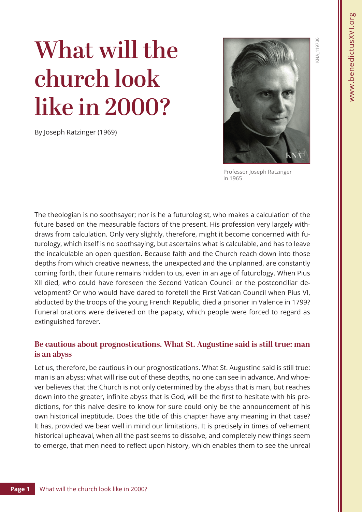# **What will the church look like in 2000?**

By Joseph Ratzinger (1969)



Professor Joseph Ratzinger in 1965

The theologian is no soothsayer; nor is he a futurologist, who makes a calculation of the future based on the measurable factors of the present. His profession very largely withdraws from calculation. Only very slightly, therefore, might it become concerned with futurology, which itself is no soothsaying, but ascertains what is calculable, and has to leave the incalculable an open question. Because faith and the Church reach down into those depths from which creative newness, the unexpected and the unplanned, are constantly coming forth, their future remains hidden to us, even in an age of futurology. When Pius XII died, who could have foreseen the Second Vatican Council or the postconciliar development? Or who would have dared to foretell the First Vatican Council when Pius VI, abducted by the troops of the young French Republic, died a prisoner in Valence in 1799? Funeral orations were delivered on the papacy, which people were forced to regard as extinguished forever.

## **Be cautious about prognostications. What St. Augustine said is still true: man is an abyss**

Let us, therefore, be cautious in our prognostications. What St. Augustine said is still true: man is an abyss; what will rise out of these depths, no one can see in advance. And whoever believes that the Church is not only determined by the abyss that is man, but reaches down into the greater, infinite abyss that is God, will be the first to hesitate with his predictions, for this naive desire to know for sure could only be the announcement of his own historical ineptitude. Does the title of this chapter have any meaning in that case? lt has, provided we bear well in mind our limitations. It is precisely in times of vehement historical upheaval, when all the past seems to dissolve, and completely new things seem to emerge, that men need to reflect upon history, which enables them to see the unreal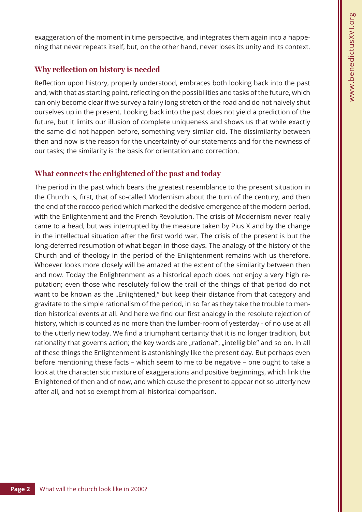exaggeration of the moment in time perspective, and integrates them again into a happening that never repeats itself, but, on the other hand, never loses its unity and its context.

## **Why reflection on history is needed**

Reflection upon history, properly understood, embraces both looking back into the past and, with that as starting point, reflecting on the possibilities and tasks of the future, which can only become clear if we survey a fairly long stretch of the road and do not naively shut ourselves up in the present. Looking back into the past does not yield a prediction of the future, but it limits our illusion of complete uniqueness and shows us that while exactly the same did not happen before, something very similar did. The dissimilarity between then and now is the reason for the uncertainty of our statements and for the newness of our tasks; the similarity is the basis for orientation and correction.

# **What connects the enlightened of the past and today**

The period in the past which bears the greatest resemblance to the present situation in the Church is, first, that of so-called Modernism about the turn of the century, and then the end of the rococo period which marked the decisive emergence of the modern period, with the Enlightenment and the French Revolution. The crisis of Modernism never really came to a head, but was interrupted by the measure taken by Pius X and by the change in the intellectual situation after the first world war. The crisis of the present is but the long-deferred resumption of what began in those days. The analogy of the history of the Church and of theology in the period of the Enlightenment remains with us therefore. Whoever looks more closely will be amazed at the extent of the similarity between then and now. Today the Enlightenment as a historical epoch does not enjoy a very high reputation; even those who resolutely follow the trail of the things of that period do not want to be known as the "Enlightened," but keep their distance from that category and gravitate to the simple rationalism of the period, in so far as they take the trouble to mention historical events at all. And here we find our first analogy in the resolute rejection of history, which is counted as no more than the lumber-room of yesterday - of no use at all to the utterly new today. We find a triumphant certainty that it is no longer tradition, but rationality that governs action; the key words are "rational", "intelligible" and so on. In all of these things the Enlightenment is astonishingly like the present day. But perhaps even before mentioning these facts – which seem to me to be negative – one ought to take a look at the characteristic mixture of exaggerations and positive beginnings, which link the Enlightened of then and of now, and which cause the present to appear not so utterly new after all, and not so exempt from all historical comparison.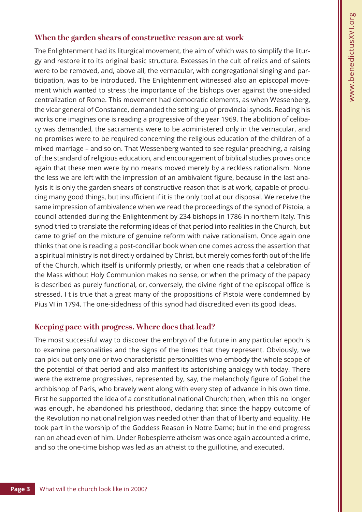#### **When the garden shears of constructive reason are at work**

The Enlightenment had its liturgical movement, the aim of which was to simplify the liturgy and restore it to its original basic structure. Excesses in the cult of relics and of saints were to be removed, and, above all, the vernacular, with congregational singing and participation, was to be introduced. The Enlightenment witnessed also an episcopal movement which wanted to stress the importance of the bishops over against the one-sided centralization of Rome. This movement had democratic elements, as when Wessenberg, the vicar general of Constance, demanded the setting up of provincial synods. Reading his works one imagines one is reading a progressive of the year 1969. The abolition of celibacy was demanded, the sacraments were to be administered only in the vernacular, and no promises were to be required concerning the religious education of the children of a mixed marriage – and so on. That Wessenberg wanted to see regular preaching, a raising of the standard of religious education, and encouragement of biblical studies proves once again that these men were by no means moved merely by a reckless rationalism. None the less we are left with the impression of an ambivalent figure, because in the last analysis it is only the garden shears of constructive reason that is at work, capable of producing many good things, but insufficient if it is the only tool at our disposal. We receive the same impression of ambivalence when we read the proceedings of the synod of Pistoia, a council attended during the Enlightenment by 234 bishops in 1786 in northern Italy. This synod tried to translate the reforming ideas of that period into realities in the Church, but came to grief on the mixture of genuine reform with naive rationalism. Once again one thinks that one is reading a post-conciliar book when one comes across the assertion that a spiritual ministry is not directly ordained by Christ, but merely comes forth out of the life of the Church, which itself is uniformly priestly, or when one reads that a celebration of the Mass without Holy Communion makes no sense, or when the primacy of the papacy is described as purely functional, or, conversely, the divine right of the episcopal office is stressed. I t is true that a great many of the propositions of Pistoia were condemned by Pius VI in 1794. The one-sidedness of this synod had discredited even its good ideas.

#### **Keeping pace with progress. Where does that lead?**

The most successful way to discover the embryo of the future in any particular epoch is to examine personalities and the signs of the times that they represent. Obviously, we can pick out only one or two characteristic personalities who embody the whole scope of the potential of that period and also manifest its astonishing analogy with today. There were the extreme progressives, represented by, say, the melancholy figure of Gobel the archbishop of Paris, who bravely went along with every step of advance in his own time. First he supported the idea of a constitutional national Church; then, when this no longer was enough, he abandoned his priesthood, declaring that since the happy outcome of the Revolution no national religion was needed other than that of liberty and equality. He took part in the worship of the Goddess Reason in Notre Dame; but in the end progress ran on ahead even of him. Under Robespierre atheism was once again accounted a crime, and so the one-time bishop was led as an atheist to the guillotine, and executed.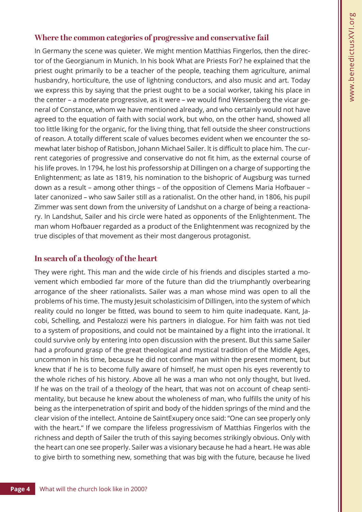## **Where the common categories of progressive and conservative fail**

In Germany the scene was quieter. We might mention Matthias Fingerlos, then the director of the Georgianum in Munich. In his book What are Priests For? he explained that the priest ought primarily to be a teacher of the people, teaching them agriculture, animal husbandry, horticulture, the use of lightning conductors, and also music and art. Today we express this by saying that the priest ought to be a social worker, taking his place in the center – a moderate progressive, as it were – we would find Wessenberg the vicar general of Constance, whom we have mentioned already, and who certainly would not have agreed to the equation of faith with social work, but who, on the other hand, showed all too little liking for the organic, for the living thing, that fell outside the sheer constructions of reason. A totally different scale of values becomes evident when we encounter the somewhat later bishop of Ratisbon, Johann Michael Sailer. lt is difficult to place him. The current categories of progressive and conservative do not fit him, as the external course of his life proves. In 1794, he lost his professorship at Dillingen on a charge of supporting the Enlightenment; as late as 1819, his nomination to the bishopric of Augsburg was turned down as a result – among other things – of the opposition of Clemens Maria Hofbauer – later canonized – who saw Sailer still as a rationalist. On the other hand, in 1806, his pupil Zimmer was sent down from the university of Landshut on a charge of being a reactionary. In Landshut, Sailer and his circle were hated as opponents of the Enlightenment. The man whom Hofbauer regarded as a product of the Enlightenment was recognized by the true disciples of that movement as their most dangerous protagonist.

## **In search of a theology of the heart**

They were right. This man and the wide circle of his friends and disciples started a movement which embodied far more of the future than did the triumphantly overbearing arrogance of the sheer rationalists. Sailer was a man whose mind was open to all the problems of his time. The musty Jesuit scholasticisim of Dillingen, into the system of which reality could no longer be fitted, was bound to seem to him quite inadequate. Kant, Jacobi, Schelling, and Pestalozzi were his partners in dialogue. For him faith was not tied to a system of propositions, and could not be maintained by a flight into the irrational. lt could survive only by entering into open discussion with the present. But this same Sailer had a profound grasp of the great theological and mystical tradition of the Middle Ages, uncommon in his time, because he did not confine man within the present moment, but knew that if he is to become fully aware of himself, he must open his eyes reverently to the whole riches of his history. Above all he was a man who not only thought, but lived. If he was on the trail of a theology of the heart, that was not on account of cheap sentimentality, but because he knew about the wholeness of man, who fulfills the unity of his being as the interpenetration of spirit and body of the hidden springs of the mind and the clear vision of the intellect. Antoine de SaintExupery once said: "One can see properly only with the heart." If we compare the lifeless progressivism of Matthias Fingerlos with the richness and depth of Sailer the truth of this saying becomes strikingly obvious. Only with the heart can one see properly. Sailer was a visionary because he had a heart. He was able to give birth to something new, something that was big with the future, because he lived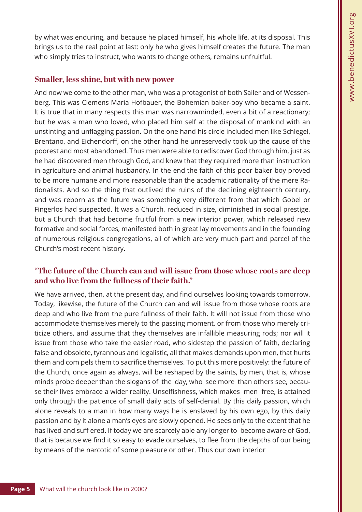by what was enduring, and because he placed himself, his whole life, at its disposal. This brings us to the real point at last: only he who gives himself creates the future. The man who simply tries to instruct, who wants to change others, remains unfruitful.

## **Smaller, less shine, but with new power**

And now we come to the other man, who was a protagonist of both Sailer and of Wessenberg. This was Clemens Maria Hofbauer, the Bohemian baker-boy who became a saint. lt is true that in many respects this man was narrowminded, even a bit of a reactionary; but he was a man who loved, who placed him self at the disposal of mankind with an unstinting and unflagging passion. On the one hand his circle included men like Schlegel, Brentano, and Eichendorff, on the other hand he unreservedly took up the cause of the poorest and most abandoned. Thus men were able to rediscover God through him, just as he had discovered men through God, and knew that they required more than instruction in agriculture and animal husbandry. In the end the faith of this poor baker-boy proved to be more humane and more reasonable than the academic rationality of the mere Rationalists. And so the thing that outlived the ruins of the declining eighteenth century, and was reborn as the future was something very different from that which Gobel or Fingerlos had suspected. lt was a Church, reduced in size, diminished in social prestige, but a Church that had become fruitful from a new interior power, which released new formative and social forces, manifested both in great lay movements and in the founding of numerous religious congregations, all of which are very much part and parcel of the Church's most recent history.

## **"The future of the Church can and will issue from those whose roots are deep and who live from the fullness of their faith."**

We have arrived, then, at the present day, and find ourselves looking towards tomorrow. Today, likewise, the future of the Church can and will issue from those whose roots are deep and who live from the pure fullness of their faith. lt will not issue from those who accommodate themselves merely to the passing moment, or from those who merely criticize others, and assume that they themselves are infallible measuring rods; nor will it issue from those who take the easier road, who sidestep the passion of faith, declaring false and obsolete, tyrannous and legalistic, all that makes demands upon men, that hurts them and com pels them to sacrifice themselves. To put this more positively: the future of the Church, once again as always, will be reshaped by the saints, by men, that is, whose minds probe deeper than the slogans of the day, who see more than others see, because their lives embrace a wider reality. Unselfishness, which makes men free, is attained only through the patience of small daily acts of self-denial. By this daily passion, which alone reveals to a man in how many ways he is enslaved by his own ego, by this daily passion and by it alone a man's eyes are slowly opened. He sees only to the extent that he has lived and suff ered. If today we are scarcely able any longer to become aware of God, that is because we find it so easy to evade ourselves, to flee from the depths of our being by means of the narcotic of some pleasure or other. Thus our own interior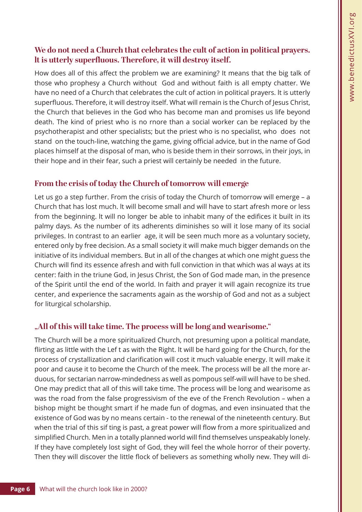## **We do not need a Church that celebrates the cult of action in political prayers. lt is utterly superfluous. Therefore, it will destroy itself.**

How does all of this affect the problem we are examining? It means that the big talk of those who prophesy a Church without God and without faith is all empty chatter. We have no need of a Church that celebrates the cult of action in political prayers. lt is utterly superfluous. Therefore, it will destroy itself. What will remain is the Church of Jesus Christ, the Church that believes in the God who has become man and promises us life beyond death. The kind of priest who is no rnore than a social worker can be replaced by the psychotherapist and other specialists; but the priest who is no specialist, who does not stand on the touch-line, watching the game, giving official advice, but in the name of God places himself at the disposal of man, who is beside them in their sorrows, in their joys, in their hope and in their fear, such a priest will certainly be needed in the future.

## **From the crisis of today the Church of tomorrow will emerge**

Let us go a step further. From the crisis of today the Church of tomorrow will emerge – a Church that has lost much. lt will become small and will have to start afresh more or less from the beginning. lt will no longer be able to inhabit many of the edifices it built in its palmy days. As the number of its adherents diminishes so will it lose many of its social privileges. In contrast to an earlier age, it will be seen much more as a voluntary society, entered only by free decision. As a small society it will make much bigger demands on the initiative of its individual members. But in all of the changes at which one might guess the Church will find its essence afresh and with full conviction in that which was al ways at its center: faith in the triune God, in Jesus Christ, the Son of God made man, in the presence of the Spirit until the end of the world. In faith and prayer it will again recognize its true center, and experience the sacraments again as the worship of God and not as a subject for liturgical scholarship.

# **"All of this will take time. The process will be long and wearisome."**

The Church will be a more spiritualized Church, not presuming upon a political mandate, flirting as little with the Lef t as with the Right. lt will be hard going for the Church, for the process of crystallization and clarification will cost it much valuable energy. It will make it poor and cause it to become the Church of the meek. The process will be all the more arduous, for sectarian narrow-mindedness as well as pompous self-will will have to be shed. One may predict that all of this will take time. The process will be long and wearisome as was the road from the false progressivism of the eve of the French Revolution – when a bishop might be thought smart if he made fun of dogmas, and even insinuated that the existence of God was by no means certain - to the renewal of the nineteenth century. But when the trial of this sif ting is past, a great power will flow from a more spiritualized and simplified Church. Men in a totally planned world will find themselves unspeakably lonely. If they have completely lost sight of God, they will feel the whole horror of their poverty. Then they will discover the little flock of believers as something wholly new. They will di-